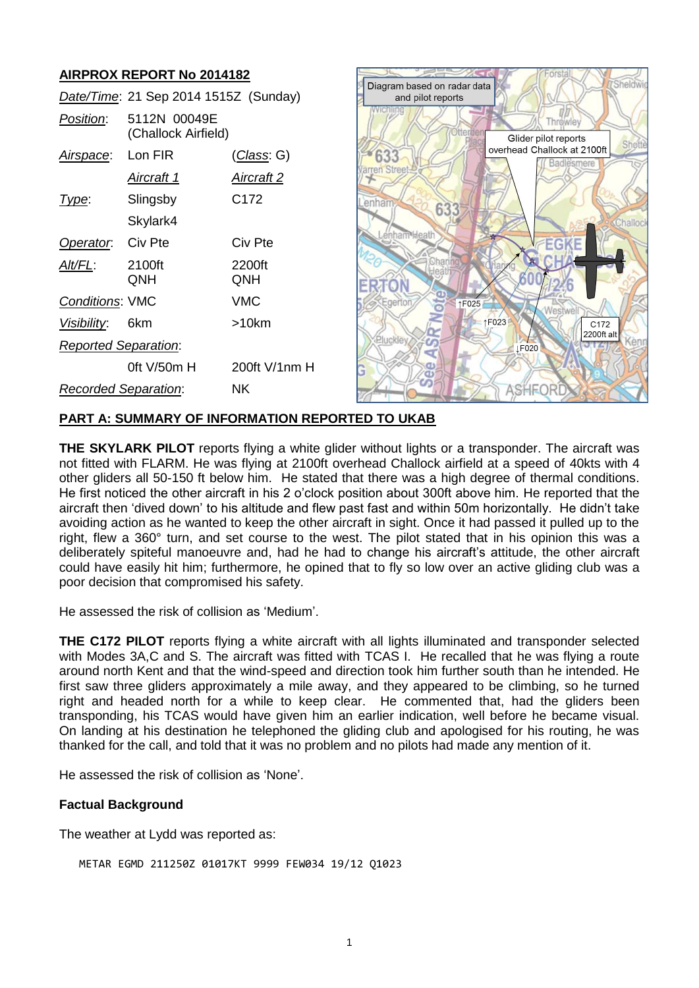## **AIRPROX REPORT No 2014182**

|                             | Date/Time: 21 Sep 2014 1515Z (Sunday) |                    |
|-----------------------------|---------------------------------------|--------------------|
| <i>Position:</i>            | 5112N 00049E<br>(Challock Airfield)   |                    |
| Airspace:                   | Lon FIR                               | <u>(Class</u> : G) |
|                             | Aircraft 1                            | Aircraft 2         |
| Type:                       | Slingsby                              | C <sub>172</sub>   |
|                             | Skylark4                              |                    |
| Operator. Civ Pte           |                                       | Civ Pte            |
| AIt/FL:                     | 2100ft<br>QNH                         | 2200ft<br>QNH      |
| <b>Conditions: VMC</b>      |                                       | VMC                |
| Visibility:                 | 6km                                   | >10km              |
| <b>Reported Separation:</b> |                                       |                    |
|                             | 0ft $V/50m$ H                         | $200ft$ V/1nm H    |
| Recorded Separation:        |                                       | ΝK                 |



### **PART A: SUMMARY OF INFORMATION REPORTED TO UKAB**

**THE SKYLARK PILOT** reports flying a white glider without lights or a transponder. The aircraft was not fitted with FLARM. He was flying at 2100ft overhead Challock airfield at a speed of 40kts with 4 other gliders all 50-150 ft below him. He stated that there was a high degree of thermal conditions. He first noticed the other aircraft in his 2 o'clock position about 300ft above him. He reported that the aircraft then 'dived down' to his altitude and flew past fast and within 50m horizontally. He didn't take avoiding action as he wanted to keep the other aircraft in sight. Once it had passed it pulled up to the right, flew a 360° turn, and set course to the west. The pilot stated that in his opinion this was a deliberately spiteful manoeuvre and, had he had to change his aircraft's attitude, the other aircraft could have easily hit him; furthermore, he opined that to fly so low over an active gliding club was a poor decision that compromised his safety.

He assessed the risk of collision as 'Medium'.

**THE C172 PILOT** reports flying a white aircraft with all lights illuminated and transponder selected with Modes 3A,C and S. The aircraft was fitted with TCAS I. He recalled that he was flying a route around north Kent and that the wind-speed and direction took him further south than he intended. He first saw three gliders approximately a mile away, and they appeared to be climbing, so he turned right and headed north for a while to keep clear. He commented that, had the gliders been transponding, his TCAS would have given him an earlier indication, well before he became visual. On landing at his destination he telephoned the gliding club and apologised for his routing, he was thanked for the call, and told that it was no problem and no pilots had made any mention of it.

He assessed the risk of collision as 'None'.

#### **Factual Background**

The weather at Lydd was reported as:

```
METAR EGMD 211250Z 01017KT 9999 FEW034 19/12 Q1023
```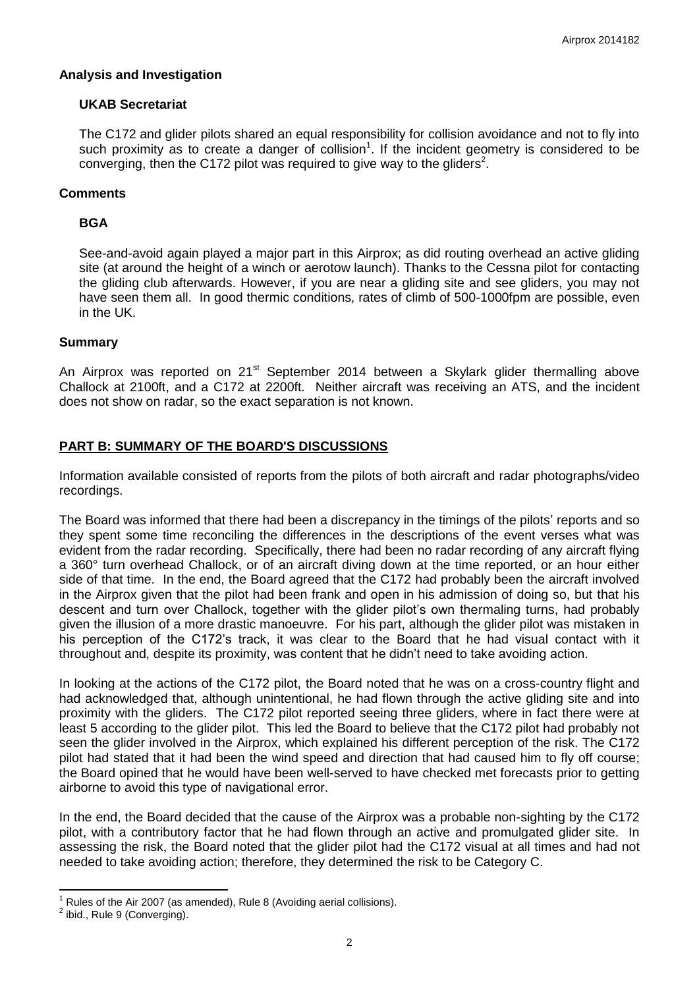### **Analysis and Investigation**

### **UKAB Secretariat**

The C172 and glider pilots shared an equal responsibility for collision avoidance and not to fly into such proximity as to create a danger of collision<sup>1</sup>. If the incident geometry is considered to be converging, then the C172 pilot was required to give way to the gliders<sup>2</sup>.

## **Comments**

### **BGA**

See-and-avoid again played a major part in this Airprox; as did routing overhead an active gliding site (at around the height of a winch or aerotow launch). Thanks to the Cessna pilot for contacting the gliding club afterwards. However, if you are near a gliding site and see gliders, you may not have seen them all. In good thermic conditions, rates of climb of 500-1000fpm are possible, even in the UK.

### **Summary**

An Airprox was reported on 21<sup>st</sup> September 2014 between a Skylark glider thermalling above Challock at 2100ft, and a C172 at 2200ft. Neither aircraft was receiving an ATS, and the incident does not show on radar, so the exact separation is not known.

## **PART B: SUMMARY OF THE BOARD'S DISCUSSIONS**

Information available consisted of reports from the pilots of both aircraft and radar photographs/video recordings.

The Board was informed that there had been a discrepancy in the timings of the pilots' reports and so they spent some time reconciling the differences in the descriptions of the event verses what was evident from the radar recording. Specifically, there had been no radar recording of any aircraft flying a 360° turn overhead Challock, or of an aircraft diving down at the time reported, or an hour either side of that time. In the end, the Board agreed that the C172 had probably been the aircraft involved in the Airprox given that the pilot had been frank and open in his admission of doing so, but that his descent and turn over Challock, together with the glider pilot's own thermaling turns, had probably given the illusion of a more drastic manoeuvre. For his part, although the glider pilot was mistaken in his perception of the C172's track, it was clear to the Board that he had visual contact with it throughout and, despite its proximity, was content that he didn't need to take avoiding action.

In looking at the actions of the C172 pilot, the Board noted that he was on a cross-country flight and had acknowledged that, although unintentional, he had flown through the active gliding site and into proximity with the gliders. The C172 pilot reported seeing three gliders, where in fact there were at least 5 according to the glider pilot. This led the Board to believe that the C172 pilot had probably not seen the glider involved in the Airprox, which explained his different perception of the risk. The C172 pilot had stated that it had been the wind speed and direction that had caused him to fly off course; the Board opined that he would have been well-served to have checked met forecasts prior to getting airborne to avoid this type of navigational error.

In the end, the Board decided that the cause of the Airprox was a probable non-sighting by the C172 pilot, with a contributory factor that he had flown through an active and promulgated glider site. In assessing the risk, the Board noted that the glider pilot had the C172 visual at all times and had not needed to take avoiding action; therefore, they determined the risk to be Category C.

 $\overline{\phantom{a}}$ 

<sup>1</sup> Rules of the Air 2007 (as amended), Rule 8 (Avoiding aerial collisions).

 $<sup>2</sup>$  ibid., Rule 9 (Converging).</sup>